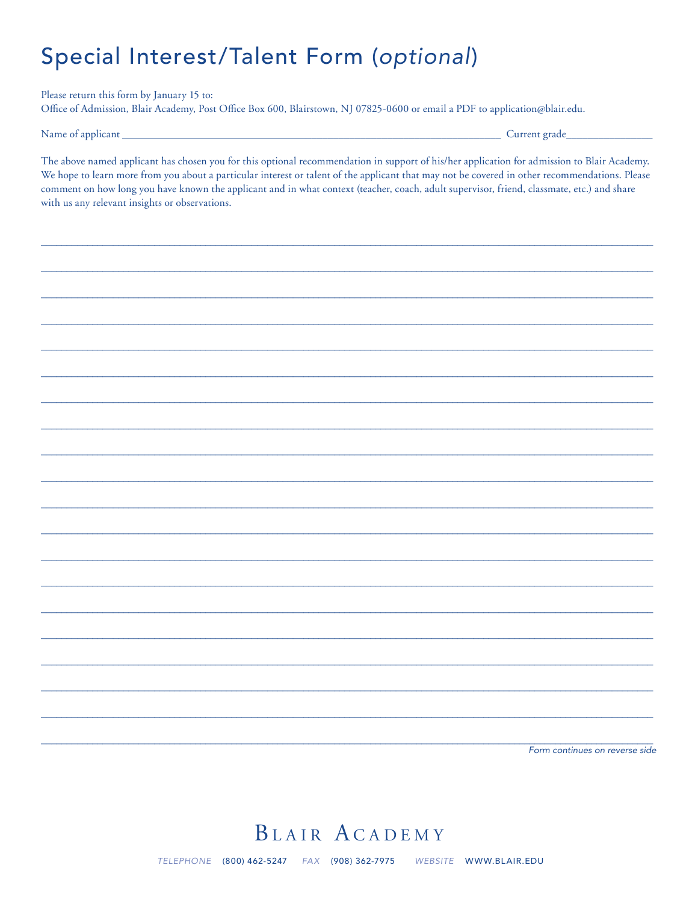## Special Interest/Talent Form (optional)

Please return this form by January 15 to: Office of Admission, Blair Academy, Post Office Box 600, Blairstown, NJ 07825-0600 or email a PDF to application@blair.edu.

Name of applicant

Current grade\_

The above named applicant has chosen you for this optional recommendation in support of his/her application for admission to Blair Academy. We hope to learn more from you about a particular interest or talent of the applicant that may not be covered in other recommendations. Please comment on how long you have known the applicant and in what context (teacher, coach, adult supervisor, friend, classmate, etc.) and share with us any relevant insights or observations.

Form continues on reverse side

## BLAIR ACADEMY

TELEPHONE (800) 462-5247 FAX (908) 362-7975 WEBSITE WWW.BLAIR.EDU